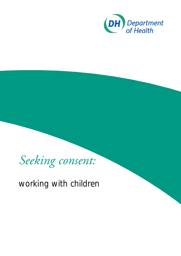



## working with children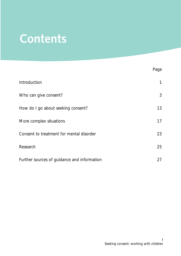# **Contents**

|                                             | Page |
|---------------------------------------------|------|
| Introduction                                | 1    |
| Who can give consent?                       | 3    |
| How do I go about seeking consent?          | 13   |
| More complex situations                     | 17   |
| Consent to treatment for mental disorder    | 23   |
| Research                                    | 25   |
| Further sources of guidance and information | 27   |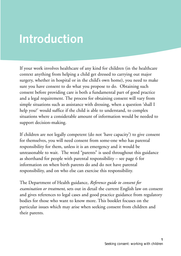# **Introduction**

If your work involves healthcare of any kind for children (in the healthcare context anything from helping a child get dressed to carrying out major surgery, whether in hospital or in the child's own home), you need to make sure you have consent to do what you propose to do. Obtaining such consent before providing care is both a fundamental part of good practice and a legal requirement. The process for obtaining consent will vary from simple situations such as assistance with dressing, when a question 'shall I help you?' would suffice if the child is able to understand, to complex situations where a considerable amount of information would be needed to support decision-making.

If children are not legally competent (do not 'have capacity') to give consent for themselves, you will need consent from some-one who has parental responsibility for them, unless it is an emergency and it would be unreasonable to wait. The word "parents" is used throughout this guidance as shorthand for people with parental responsibility – see page 6 for information on when birth parents do and do not have parental responsibility, and on who else can exercise this responsibility.

The Department of Health guidance, *Reference guide to consent for examination or treatment*, sets out in detail the current English law on consent and gives references to legal cases and good practice guidance from regulatory bodies for those who want to know more. This booklet focuses on the particular issues which may arise when seeking consent from children and their parents.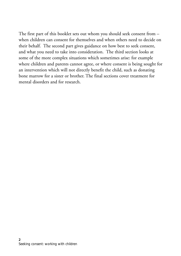The first part of this booklet sets out whom you should seek consent from – when children can consent for themselves and when others need to decide on their behalf. The second part gives guidance on how best to seek consent, and what you need to take into consideration. The third section looks at some of the more complex situations which sometimes arise: for example where children and parents cannot agree, or where consent is being sought for an intervention which will not directly benefit the child, such as donating bone marrow for a sister or brother. The final sections cover treatment for mental disorders and for research.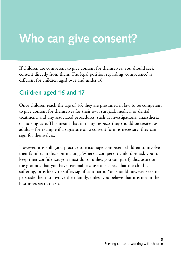# **Who can give consent?**

If children are competent to give consent for themselves, you should seek consent directly from them. The legal position regarding 'competence' is different for children aged over and under 16.

### **Children aged 16 and 17**

Once children reach the age of 16, they are presumed in law to be competent to give consent for themselves for their own surgical, medical or dental treatment, and any associated procedures, such as investigations, anaesthesia or nursing care. This means that in many respects they should be treated as adults – for example if a signature on a consent form is necessary, they can sign for themselves.

However, it is still good practice to encourage competent children to involve their families in decision-making. Where a competent child does ask you to keep their confidence, you must do so, unless you can justify disclosure on the grounds that you have reasonable cause to suspect that the child is suffering, or is likely to suffer, significant harm. You should however seek to persuade them to involve their family, unless you believe that it is not in their best interests to do so.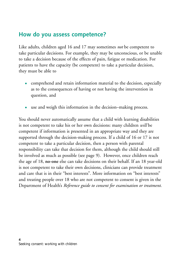#### **How do you assess competence?**

Like adults, children aged 16 and 17 may sometimes *not* be competent to take particular decisions. For example, they may be unconscious, or be unable to take a decision because of the effects of pain, fatigue or medication. For patients to have the capacity (be competent) to take a particular decision, they must be able to

- comprehend and retain information material to the decision, especially as to the consequences of having or not having the intervention in question, and
- use and weigh this information in the decision–making process.

You should never automatically assume that a child with learning disabilities is not competent to take his or her own decisions: many children *will* be competent if information is presented in an appropriate way and they are supported through the decision-making process. If a child of 16 or 17 is not competent to take a particular decision, then a person with parental responsibility can take that decision for them, although the child should still be involved as much as possible (see page 9). However, once children reach the age of 18, **no-one** else can take decisions on their behalf. If an 18 year-old is not competent to take their own decisions, clinicians can provide treatment and care that is in their "best interests". More information on "best interests" and treating people over 18 who are not competent to consent is given in the Department of Health's *Reference guide to consent for examination or treatment*.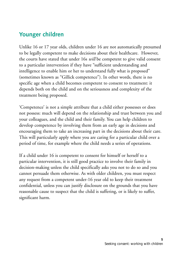### **Younger children**

Unlike 16 or 17 year olds, children under 16 are not automatically presumed to be legally competent to make decisions about their healthcare. However, the courts have stated that under 16s *will* be competent to give valid consent to a particular intervention if they have "sufficient understanding and intelligence to enable him or her to understand fully what is proposed" (sometimes known as "Gillick competence"). In other words, there is no specific age when a child becomes competent to consent to treatment: it depends both on the child and on the seriousness and complexity of the treatment being proposed.

'Competence' is not a simple attribute that a child either possesses or does not possess: much will depend on the relationship and trust between you and your colleagues, and the child and their family. You can help children to develop competence by involving them from an early age in decisions and encouraging them to take an increasing part in the decisions about their care. This will particularly apply where you are caring for a particular child over a period of time, for example where the child needs a series of operations.

If a child under 16 is competent to consent for himself or herself to a particular intervention, it is still good practice to involve their family in decision-making unless the child specifically asks you not to do so and you cannot persuade them otherwise. As with older children, you must respect any request from a competent under-16 year old to keep their treatment confidential, unless you can justify disclosure on the grounds that you have reasonable cause to suspect that the child is suffering, or is likely to suffer, significant harm.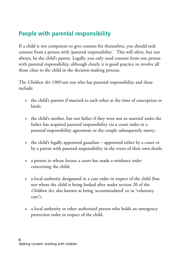### **People with parental responsibility**

If a child is not competent to give consent for themselves, you should seek consent from a person with 'parental responsibility'. This will often, but not always, be the child's parent. Legally, you only need consent from one person with parental responsibility, although clearly it is good practice to involve all those close to the child in the decision-making process.

The *Children Act 1989* sets out who has parental responsibility and these include:

- the child's parents if married to each other at the time of conception or birth;
- the child's mother, but not father if they were not so married *unless* the father has acquired parental responsibility via a court order or a parental responsibility agreement or the couple subsequently marry;
- the child's legally appointed guardian appointed either by a court or by a parent with parental responsibility in the event of their own death;
- a person in whose favour a court has made a residence order concerning the child;
- a local authority designated in a care order in respect of the child (but not where the child is being looked after under section 20 of the *Children Act*, also known as being 'accommodated' or in 'voluntary care');
- a local authority or other authorised person who holds an emergency protection order in respect of the child.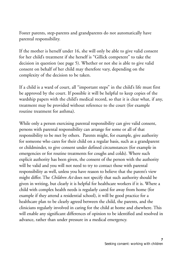Foster parents, step-parents and grandparents do not automatically have parental responsibility.

If the mother is herself under 16, she will only be able to give valid consent for her child's treatment if she herself is "Gillick competent" to take the decision in question (see page 5). Whether or not she is able to give valid consent on behalf of her child may therefore vary, depending on the complexity of the decision to be taken.

If a child is a ward of court, all "important steps" in the child's life must first be approved by the court. If possible it will be helpful to keep copies of the wardship papers with the child's medical record, so that it is clear what, if any, treatment may be provided without reference to the court (for example routine treatment for asthma).

While only a person exercising parental responsibility can give valid consent, persons with parental responsibility can arrange for some or all of that responsibility to be met by others. Parents might, for example, give authority for someone who cares for their child on a regular basis, such as a grandparent or childminder, to give consent under defined circumstances (for example in emergencies or for routine treatments for coughs and colds). Where such explicit authority has been given, the consent of the person with the authority will be valid and you will not need to try to contact those with parental responsibility as well, unless you have reason to believe that the parent's view might differ. The *Children Act* does not specify that such authority should be given in writing, but clearly it is helpful for healthcare workers if it is. Where a child with complex health needs is regularly cared for away from home (for example if they attend a residential school), it will be good practice for a healthcare plan to be clearly agreed between the child, the parents, and the clinicians regularly involved in caring for the child at home and elsewhere. This will enable any significant differences of opinion to be identified and resolved in advance, rather than under pressure in a medical emergency.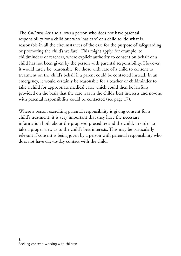The *Children Act* also allows a person who does not have parental responsibility for a child but who 'has care' of a child to 'do what is reasonable in all the circumstances of the case for the purpose of safeguarding or promoting the child's welfare'. This might apply, for example, to childminders or teachers, where explicit authority to consent on behalf of a child has not been given by the person with parental responsibility. However, it would rarely be 'reasonable' for those with care of a child to consent to treatment on the child's behalf if a parent could be contacted instead. In an emergency, it would certainly be reasonable for a teacher or childminder to take a child for appropriate medical care, which could then be lawfully provided on the basis that the care was in the child's best interests and no-one with parental responsibility could be contacted (see page 17).

Where a person exercising parental responsibility is giving consent for a child's treatment, it is very important that they have the necessary information both about the proposed procedure and the child, in order to take a proper view as to the child's best interests. This may be particularly relevant if consent is being given by a person with parental responsibility who does not have day-to-day contact with the child.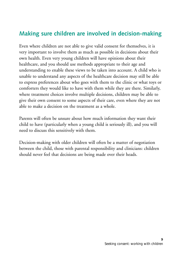#### **Making sure children are involved in decision-making**

Even where children are not able to give valid consent for themselves, it is very important to involve them as much as possible in decisions about their own health. Even very young children will have opinions about their healthcare, and you should use methods appropriate to their age and understanding to enable these views to be taken into account. A child who is unable to understand any aspects of the healthcare decision may still be able to express preferences about who goes with them to the clinic or what toys or comforters they would like to have with them while they are there. Similarly, where treatment choices involve multiple decisions, children may be able to give their own consent to some aspects of their care, even where they are not able to make a decision on the treatment as a whole.

Parents will often be unsure about how much information they want their child to have (particularly when a young child is seriously ill), and you will need to discuss this sensitively with them.

Decision-making with older children will often be a matter of negotiation between the child, those with parental responsibility and clinicians: children should never feel that decisions are being made over their heads.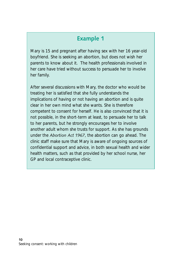Mary is 15 and pregnant after having sex with her 16 year-old boyfriend. She is seeking an abortion, but does not wish her parents to know about it. The health professionals involved in her care have tried without success to persuade her to involve her family.

After several discussions with Mary, the doctor who would be treating her is satisfied that she fully understands the implications of having or not having an abortion and is quite clear in her own mind what she wants. She is therefore competent to consent for herself. He is also convinced that it is not possible, in the short-term at least, to persuade her to talk to her parents, but he strongly encourages her to involve another adult whom she trusts for support. As she has grounds under the *Abortion Act 1967*, the abortion can go ahead. The clinic staff make sure that Mary is aware of ongoing sources of confidential support and advice, in both sexual health and wider health matters, such as that provided by her school nurse, her GP and local contraceptive clinic.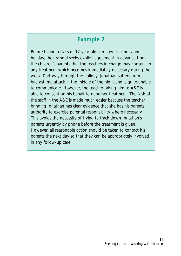Before taking a class of 12 year-olds on a week-long school holiday, their school seeks explicit agreement in advance from the children's parents that the teachers in charge may consent to any treatment which becomes immediately necessary during the week. Part way through the holiday, Jonathan suffers from a bad asthma attack in the middle of the night and is quite unable to communicate. However, the teacher taking him to A&E is able to consent on his behalf to nebuliser treatment. The task of the staff in the A&E is made much easier because the teacher bringing Jonathan has clear evidence that she has his parents' authority to exercise parental responsibility where necessary. This avoids the necessity of trying to track down Jonathan's parents urgently by phone before the treatment is given. However, all reasonable action should be taken to contact his parents the next day so that they can be appropriately involved in any follow-up care.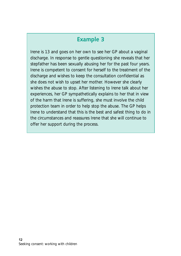Irene is 13 and goes on her own to see her GP about a vaginal discharge. In response to gentle questioning she reveals that her stepfather has been sexually abusing her for the past four years. Irene is competent to consent for herself to the treatment of the discharge and wishes to keep the consultation confidential as she does not wish to upset her mother. However she clearly wishes the abuse to stop. After listening to Irene talk about her experiences, her GP sympathetically explains to her that in view of the harm that Irene is suffering, she must involve the child protection team in order to help stop the abuse. The GP helps Irene to understand that this is the best and safest thing to do in the circumstances and reassures Irene that she will continue to offer her support during the process.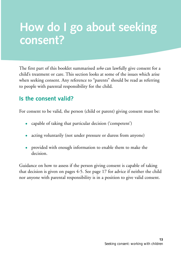# **How do I go about seeking consent?**

The first part of this booklet summarised *who* can lawfully give consent for a child's treatment or care. This section looks at some of the issues which arise when seeking consent. Any reference to "parents" should be read as referring to people with parental responsibility for the child.

#### **Is the consent valid?**

For consent to be valid, the person (child or parent) giving consent must be:

- capable of taking that particular decision ('competent')
- acting voluntarily (not under pressure or duress from anyone)
- provided with enough information to enable them to make the decision.

Guidance on how to assess if the person giving consent is capable of taking that decision is given on pages 4-5. See page 17 for advice if neither the child nor anyone with parental responsibility is in a position to give valid consent.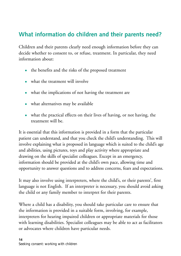### **What information do children and their parents need?**

Children and their parents clearly need enough information before they can decide whether to consent to, or refuse, treatment. In particular, they need information about:

- the benefits and the risks of the proposed treatment
- what the treatment will involve
- what the implications of not having the treatment are
- what alternatives may be available
- what the practical effects on their lives of having, or not having, the treatment will be.

It is essential that this information is provided in a form that the particular patient can understand, and that you check the child's understanding. This will involve explaining what is proposed in language which is suited to the child's age and abilities, using pictures, toys and play activity where appropriate and drawing on the skills of specialist colleagues. Except in an emergency, information should be provided at the child's own pace, allowing time and opportunity to answer questions and to address concerns, fears and expectations.

It may also involve using interpreters, where the child's, or their parents', first language is not English. If an interpreter is necessary, you should avoid asking the child or any family member to interpret for their parents.

Where a child has a disability, you should take particular care to ensure that the information is provided in a suitable form, involving, for example, interpreters for hearing impaired children or appropriate materials for those with learning disabilities. Specialist colleagues may be able to act as facilitators or advocates where children have particular needs.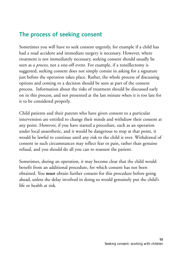### **The process of seeking consent**

Sometimes you will have to seek consent urgently, for example if a child has had a road accident and immediate surgery is necessary. However, where treatment is not immediately necessary, seeking consent should usually be seen as a *process*, not a one-off event. For example, if a tonsillectomy is suggested, seeking consent does not simply consist in asking for a signature just before the operation takes place. Rather, the whole process of discussing options and coming to a decision should be seen as part of the consent process. Information about the risks of treatment should be discussed early on in this process, and not presented at the last minute when it is too late for it to be considered properly.

Child patients and their parents who have given consent to a particular intervention are entitled to change their minds and withdraw their consent at any point. However, if you have started a procedure, such as an operation under local anaesthetic, and it would be dangerous to stop at that point, it would be lawful to continue until any risk to the child is over. Withdrawal of consent in such circumstances may reflect fear or pain, rather than genuine refusal, and you should do all you can to reassure the patient.

Sometimes, during an operation, it may become clear that the child would benefit from an additional procedure, for which consent has not been obtained. You **must** obtain further consent for this procedure before going ahead, unless the delay involved in doing so would genuinely put the child's life or health at risk.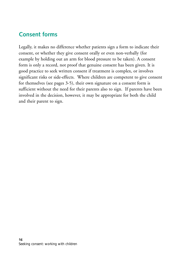#### **Consent forms**

Legally, it makes no difference whether patients sign a form to indicate their consent, or whether they give consent orally or even non-verbally (for example by holding out an arm for blood pressure to be taken). A consent form is only a record, not proof that genuine consent has been given. It is good practice to seek written consent if treatment is complex, or involves significant risks or side-effects. Where children are competent to give consent for themselves (see pages 3-5), their own signature on a consent form is sufficient without the need for their parents also to sign. If parents have been involved in the decision, however, it may be appropriate for both the child and their parent to sign.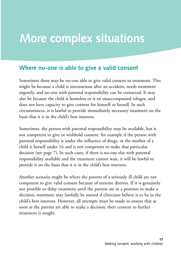# **More complex situations**

#### **Where no-one is able to give a valid consent**

Sometimes there may be no-one able to give valid consent to treatment. This might be because a child is unconscious after an accident, needs treatment urgently, and no-one with parental responsibility can be contacted. It may also be because the child is homeless or is an unaccompanied refugee, and does not have capacity to give consent for himself or herself. In such circumstances, it is lawful to provide immediately necessary treatment on the basis that it is in the child's best interests.

Sometimes, the person with parental responsibility may be available, but is not competent to give or withhold consent: for example if the person with parental responsibility is under the influence of drugs, or the mother of a child is herself under 16 and is not competent to make that particular decision (see page 7). In such cases, if there is no-one else with parental responsibility available and the treatment cannot wait, it will be lawful to provide it on the basis that it is in the child's best interests.

Another scenario might be where the parents of a seriously ill child are not competent to give valid consent because of extreme distress. If it is genuinely not possible to delay treatment until the parents are in a position to make a decision, treatment may lawfully be started if clinicians believe it to be in the child's best interests. However, all attempts must be made to ensure that as soon as the parents are able to make a decision, their consent to further treatment is sought.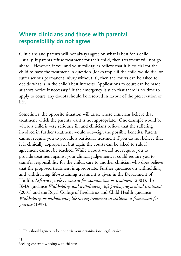#### **Where clinicians and those with parental responsibility do not agree**

Clinicians and parents will not always agree on what is best for a child. Usually, if parents refuse treatment for their child, then treatment will not go ahead. However, if you and your colleagues believe that it is crucial for the child to have the treatment in question (for example if the child would die, or suffer serious permanent injury without it), then the courts can be asked to decide what is in the child's best interests. Applications to court can be made at short notice if necessary.<sup>1</sup> If the emergency is such that there is no time to apply to court, any doubts should be resolved in favour of the preservation of life.

Sometimes, the opposite situation will arise: where clinicians believe that treatment which the parents want is not appropriate. One example would be where a child is very seriously ill, and clinicians believe that the suffering involved in further treatment would outweigh the possible benefits. Parents cannot require you to provide a particular treatment if you do not believe that it is clinically appropriate, but again the courts can be asked to rule if agreement cannot be reached. While a court would not require you to provide treatment against your clinical judgement, it could require you to transfer responsibility for the child's care to another clinician who does believe that the proposed treatment is appropriate. Further guidance on withholding and withdrawing life-sustaining treatment is given in the Department of Health's *Reference guide to consent for examination or treatment* (2001), the BMA guidance *Withholding and withdrawing life prolonging medical treatment* (2001) and the Royal College of Paediatrics and Child Health guidance *Withholding or withdrawing life saving treatment in children: a framework for practice* (1997).

<sup>&</sup>lt;sup>1</sup> This should generally be done via your organisation's legal service.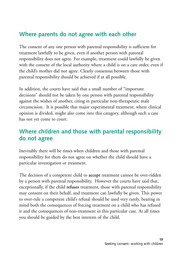### **Where parents do not agree with each other**

The consent of any one person with parental responsibility is sufficient for treatment lawfully to be given, even if another person with parental responsibility does not agree. For example, treatment could lawfully be given with the consent of the local authority where a child is on a care order, even if the child's mother did not agree. Clearly consensus between those with parental responsibility should be achieved if at all possible.

In addition, the courts have said that a small number of "important decisions" should not be taken by one person with parental responsibility against the wishes of another, citing in particular non-therapeutic male circumcision. It is possible that major experimental treatment, where clinical opinion is divided, might also come into this category, although such a case has not yet come to court.

#### **Where children and those with parental responsibility do not agree**

Inevitably there will be times when children and those with parental responsibility for them do not agree on whether the child should have a particular investigation or treatment.

The decision of a competent child to **accept** treatment cannot be over-ridden by a person with parental responsibility. However the courts have said that, exceptionally, if the child **refuses** treatment, those with parental responsibility may consent on their behalf, and treatment can lawfully be given. This power to over-rule a competent child's refusal should be used very rarely, bearing in mind both the consequences of forcing treatment on a child who has refused it and the consequences of non-treatment in this particular case. At all times you should be guided by the best interests of the child.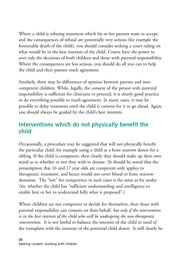Where a child is refusing treatment which his or her parents want to accept, and the consequences of refusal are potentially very serious (for example the foreseeable death of the child), you should consider seeking a court ruling on what would be in the best interests of the child. Courts have the power to over-rule the decisions of both children and those with parental responsibility. Where the consequences are less serious, you should do all you can to help the child and their parents reach agreement.

Similarly, there may be differences of opinion between parents and noncompetent children. While, legally, the consent of the person with parental responsibility is sufficient for clinicians to proceed, it is clearly good practice to do everything possible to reach agreement. In many cases, it may be possible to delay treatment until the child is content for it to go ahead. Again, you should always be guided by the child's best interests.

### **Interventions which do not physically benefit the child**

Occasionally, a procedure may be suggested that will not physically benefit the particular child: for example using a child as a bone marrow donor for a sibling. If the child is competent, then clearly they should make up their own mind as to whether or not they wish to donate. (It should be noted that the presumption that 16 and 17 year olds are competent only applies to therapeutic treatment, and hence would not cover blood or bone marrow donation. The "test" for competence in such cases is the same as for under 16s: whether the child has "sufficient understanding and intelligence to enable him or her to understand fully what is proposed".)

Where children are not competent to decide for themselves, then those with parental responsibility can consent on their behalf, *but only if the intervention is in the best interests of the child who will be undergoing the non-therapeutic intervention*. It is not lawful to balance the interests of the child in need of the transplant with the interests of the potential child donor. It will clearly be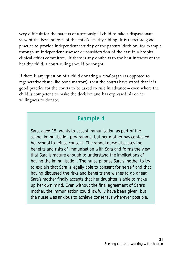very difficult for the parents of a seriously ill child to take a dispassionate view of the best interests of the child's healthy sibling. It is therefore good practice to provide independent scrutiny of the parents' decision, for example through an independent assessor or consideration of the case in a hospital clinical ethics committee. If there is any doubt as to the best interests of the healthy child, a court ruling should be sought.

If there is any question of a child donating a *solid* organ (as opposed to regenerative tissue like bone marrow), then the courts have stated that it is good practice for the courts to be asked to rule in advance – even where the child is competent to make the decision and has expressed his or her willingness to donate.

#### **Example 4**

Sara, aged 15, wants to accept immunisation as part of the school immunisation programme, but her mother has contacted her school to refuse consent. The school nurse discusses the benefits and risks of immunisation with Sara and forms the view that Sara is mature enough to understand the implications of having the immunisation. The nurse phones Sara's mother to try to explain that Sara is legally able to consent for herself and that having discussed the risks and benefits she wishes to go ahead. Sara's mother finally accepts that her daughter is able to make up her own mind. Even without the final agreement of Sara's mother, the immunisation could lawfully have been given, but the nurse was anxious to achieve consensus wherever possible.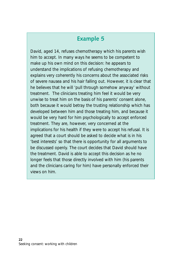David, aged 14, refuses chemotherapy which his parents wish him to accept. In many ways he seems to be competent to make up his own mind on this decision: he appears to understand the implications of refusing chemotherapy and explains very coherently his concerns about the associated risks of severe nausea and his hair falling out. However, it is clear that he believes that he will 'pull through somehow anyway' without treatment. The clinicians treating him feel it would be very unwise to treat him on the basis of his parents' consent alone, both because it would betray the trusting relationship which has developed between him and those treating him, and because it would be very hard for him psychologically to accept enforced treatment. They are, however, very concerned at the implications for his health if they were to accept his refusal. It is agreed that a court should be asked to decide what is in his 'best interests' so that there is opportunity for all arguments to be discussed openly. The court decides that David should have the treatment. David is able to accept this decision as he no longer feels that those directly involved with him (his parents and the clinicians caring for him) have personally enforced their views on him.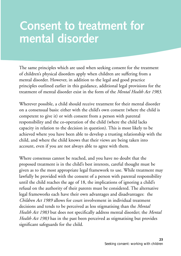# **Consent to treatment for mental disorder**

The same principles which are used when seeking consent for the treatment of children's physical disorders apply when children are suffering from a mental disorder. However, in addition to the legal and good practice principles outlined earlier in this guidance, additional legal provisions for the treatment of mental disorder exist in the form of the *Mental Health Act 1983*.

Wherever possible, a child should receive treatment for their mental disorder on a consensual basis: either with the child's own consent (where the child is competent to give it) or with consent from a person with parental responsibility and the co-operation of the child (where the child lacks capacity in relation to the decision in question). This is most likely to be achieved where you have been able to develop a trusting relationship with the child, and where the child knows that their views are being taken into account, even if you are not always able to agree with them.

Where consensus cannot be reached, and you have no doubt that the proposed treatment is in the child's best interests, careful thought must be given as to the most appropriate legal framework to use. While treatment may lawfully be provided with the consent of a person with parental responsibility until the child reaches the age of 18, the implications of ignoring a child's refusal on the authority of their parents must be considered. The alternative legal frameworks each have their own advantages and disadvantages: the *Children Act 1989* allows for court involvement in individual treatment decisions and tends to be perceived as less stigmatising than the *Mental Health Act 1983* but does not specifically address mental disorder; the *Mental Health Act 1983* has in the past been perceived as stigmatising but provides significant safeguards for the child.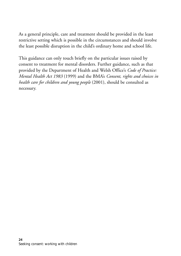As a general principle, care and treatment should be provided in the least restrictive setting which is possible in the circumstances and should involve the least possible disruption in the child's ordinary home and school life.

This guidance can only touch briefly on the particular issues raised by consent to treatment for mental disorders. Further guidance, such as that provided by the Department of Health and Welsh Office's *Code of Practice: Mental Health Act 1983* (1999) and the BMA's *Consent, rights and choices in health care for children and young people* (2001), should be consulted as necessary.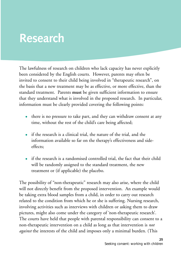# **Research**

The lawfulness of research on children who lack capacity has never explicitly been considered by the English courts. However, parents may often be invited to consent to their child being involved in "therapeutic research", on the basis that a new treatment may be as effective, or more effective, than the standard treatment. Parents **must** be given sufficient information to ensure that they understand what is involved in the proposed research. In particular, information must be clearly provided covering the following points:

- there is no pressure to take part, and they can withdraw consent at any time, without the rest of the child's care being affected;
- if the research is a clinical trial, the nature of the trial, and the information available so far on the therapy's effectiveness and sideeffects;
- if the research is a randomised controlled trial, the fact that their child will be randomly assigned to the standard treatment, the new treatment or (if applicable) the placebo.

The possibility of "non-therapeutic" research may also arise, where the child will not directly benefit from the proposed intervention. An example would be taking extra blood samples from a child, in order to carry out research related to the condition from which he or she is suffering. Nursing research, involving activities such as interviews with children or asking them to draw pictures, might also come under the category of 'non-therapeutic research'. The courts have held that people with parental responsibility can consent to a non-therapeutic intervention on a child as long as that intervention is *not against* the interests of the child and imposes only a minimal burden. (This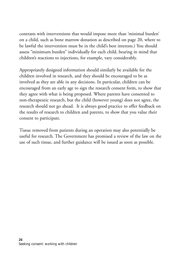contrasts with interventions that would impose more than 'minimal burden' on a child, such as bone marrow donation as described on page 20, where to be lawful the intervention must be in the child's best interests.) You should assess "minimum burden" individually for each child, bearing in mind that children's reactions to injections, for example, vary considerably.

Appropriately designed information should similarly be available for the children involved in research, and they should be encouraged to be as involved as they are able in any decisions. In particular, children can be encouraged from an early age to sign the research consent form, to show that they agree with what is being proposed. Where parents have consented to non-therapeutic research, but the child (however young) does not agree, the research should not go ahead. It is always good practice to offer feedback on the results of research to children and parents, to show that you value their consent to participate.

Tissue removed from patients during an operation may also potentially be useful for research. The Government has promised a review of the law on the use of such tissue, and further guidance will be issued as soon as possible.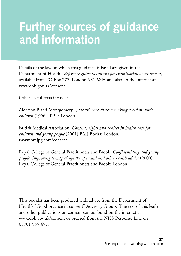# **Further sources of guidance and information**

Details of the law on which this guidance is based are given in the Department of Health's *Reference guide to consent for examination or treatment*, available from PO Box 777, London SE1 6XH and also on the internet at www.doh.gov.uk/consent.

Other useful texts include:

Alderson P and Montgomery J, *Health care choices: making decisions with children* (1996) IPPR: London.

British Medical Association, *Consent, rights and choices in health care for children and young people* (2001) BMJ Books: London. (www.bmjpg.com/consent)

Royal College of General Practitioners and Brook, *Confidentiality and young people: improving teenagers' uptake of sexual and other health advice* (2000) Royal College of General Practitioners and Brook: London.

This booklet has been produced with advice from the Department of Health's "Good practice in consent" Advisory Group. The text of this leaflet and other publications on consent can be found on the internet at www.doh.gov.uk/consent or ordered from the NHS Response Line on 08701 555 455.